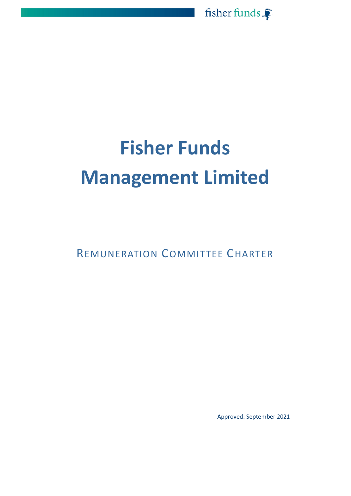

# **Fisher Funds Management Limited**

REMUNERATION COMMITTEE CHARTER

Approved: September 2021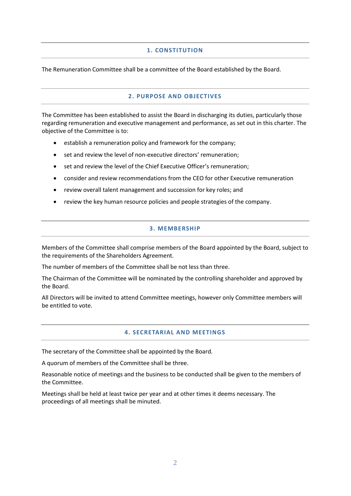# **1. CONSTITUTION**

The Remuneration Committee shall be a committee of the Board established by the Board.

# **2. PURPOSE AND OBJECTIVES**

The Committee has been established to assist the Board in discharging its duties, particularly those regarding remuneration and executive management and performance, as set out in this charter. The objective of the Committee is to:

- establish a remuneration policy and framework for the company;
- set and review the level of non-executive directors' remuneration;
- set and review the level of the Chief Executive Officer's remuneration;
- consider and review recommendations from the CEO for other Executive remuneration
- review overall talent management and succession for key roles; and
- review the key human resource policies and people strategies of the company.

# **3. MEMBERSHIP**

Members of the Committee shall comprise members of the Board appointed by the Board, subject to the requirements of the Shareholders Agreement.

The number of members of the Committee shall be not less than three.

The Chairman of the Committee will be nominated by the controlling shareholder and approved by the Board.

All Directors will be invited to attend Committee meetings, however only Committee members will be entitled to vote.

# **4. SECRETARIAL AND MEETINGS**

The secretary of the Committee shall be appointed by the Board.

A quorum of members of the Committee shall be three.

Reasonable notice of meetings and the business to be conducted shall be given to the members of the Committee.

Meetings shall be held at least twice per year and at other times it deems necessary. The proceedings of all meetings shall be minuted.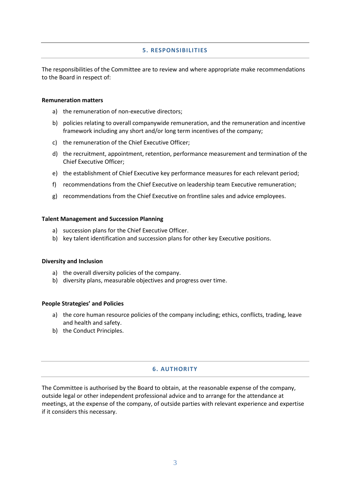## **5. RESPONSIBILITIES**

The responsibilities of the Committee are to review and where appropriate make recommendations to the Board in respect of:

#### **Remuneration matters**

- a) the remuneration of non-executive directors;
- b) policies relating to overall companywide remuneration, and the remuneration and incentive framework including any short and/or long term incentives of the company;
- c) the remuneration of the Chief Executive Officer;
- d) the recruitment, appointment, retention, performance measurement and termination of the Chief Executive Officer;
- e) the establishment of Chief Executive key performance measures for each relevant period;
- f) recommendations from the Chief Executive on leadership team Executive remuneration;
- g) recommendations from the Chief Executive on frontline sales and advice employees.

#### **Talent Management and Succession Planning**

- a) succession plans for the Chief Executive Officer.
- b) key talent identification and succession plans for other key Executive positions.

#### **Diversity and Inclusion**

- a) the overall diversity policies of the company.
- b) diversity plans, measurable objectives and progress over time.

#### **People Strategies' and Policies**

- a) the core human resource policies of the company including; ethics, conflicts, trading, leave and health and safety.
- b) the Conduct Principles.

### **6. AUTHORITY**

The Committee is authorised by the Board to obtain, at the reasonable expense of the company, outside legal or other independent professional advice and to arrange for the attendance at meetings, at the expense of the company, of outside parties with relevant experience and expertise if it considers this necessary.